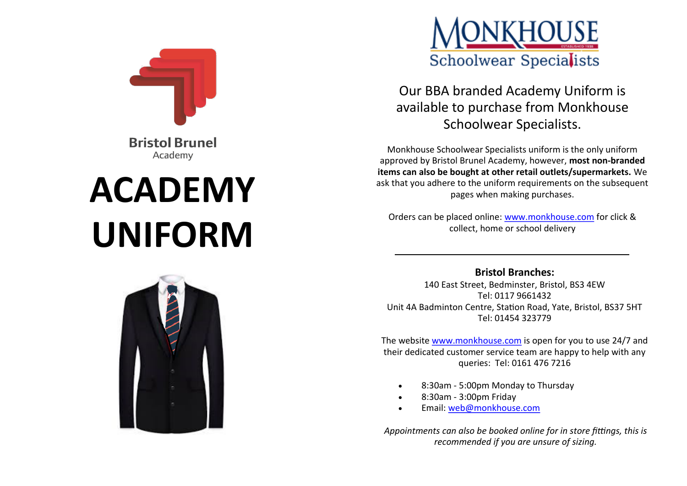

**Bristol Brunel** Academy

# **ACADEMY UNIFORM**



Our BBA branded Academy Uniform is available to purchase from Monkhouse Schoolwear Specialists.

Monkhouse Schoolwear Specialists uniform is the only uniform approved by Bristol Brunel Academy, however, **most non-branded items can also be bought at other retail outlets/supermarkets.** We ask that you adhere to the uniform requirements on the subsequent pages when making purchases.

Orders can be placed online: [www.monkhouse.com](http://www.monkhouse.com) for click & collect, home or school delivery



140 East Street, Bedminster, Bristol, BS3 4EW Tel: 0117 9661432 Unit 4A Badminton Centre, Station Road, Yate, Bristol, BS37 5HT Tel: 01454 323779

The website [www.monkhouse.com](http://www.monkhouse.com) is open for you to use 24/7 and their dedicated customer service team are happy to help with any queries: Tel: 0161 476 7216

- 8:30am 5:00pm Monday to Thursday
- 8:30am 3:00pm Friday
- Email: [web@monkhouse.com](mailto:web@monkhouse.com)

*Appointments can also be booked online for in store fittings, this is recommended if you are unsure of sizing.*